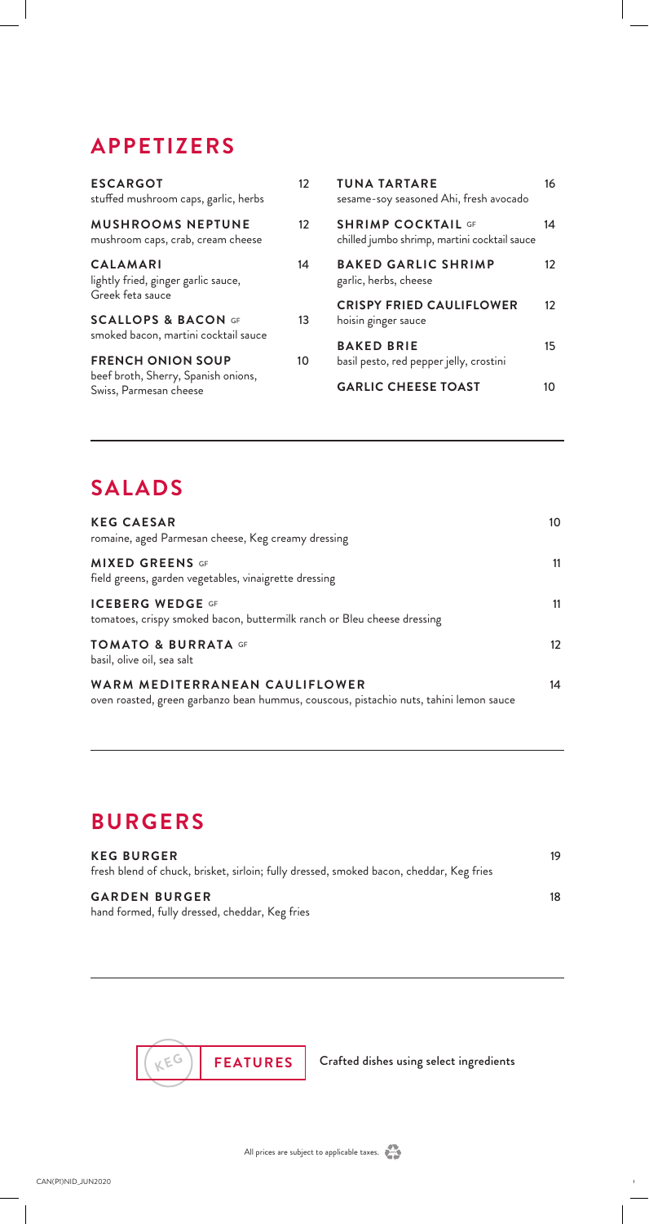# **APPETIZERS**

| <b>ESCARGOT</b><br>stuffed mushroom caps, garlic, herbs                                   | 12 | <b>TUNA TARTARE</b><br>sesame-soy seasoned Ahi, fresh avocado               | 16       |
|-------------------------------------------------------------------------------------------|----|-----------------------------------------------------------------------------|----------|
| <b>MUSHROOMS NEPTUNE</b><br>mushroom caps, crab, cream cheese                             | 12 | <b>SHRIMP COCKTAIL GF</b><br>chilled jumbo shrimp, martini cocktail sauce   | 14       |
| <b>CALAMARI</b><br>lightly fried, ginger garlic sauce,<br>Greek feta sauce                | 14 | <b>BAKED GARLIC SHRIMP</b><br>garlic, herbs, cheese                         | 12       |
| <b>SCALLOPS &amp; BACON GF</b><br>smoked bacon, martini cocktail sauce                    | 13 | <b>CRISPY FRIED CAULIFLOWER</b><br>hoisin ginger sauce<br><b>BAKED BRIE</b> | 12       |
| <b>FRENCH ONION SOUP</b><br>beef broth, Sherry, Spanish onions,<br>Swiss, Parmesan cheese | 10 | basil pesto, red pepper jelly, crostini<br><b>GARLIC CHEESE TOAST</b>       | 15<br>10 |

## **SALADS**

| <b>KEG CAESAR</b><br>romaine, aged Parmesan cheese, Keg creamy dressing                                                  | 10                |
|--------------------------------------------------------------------------------------------------------------------------|-------------------|
| <b>MIXED GREENS GF</b><br>field greens, garden vegetables, vinaigrette dressing                                          | 11                |
| <b>ICEBERG WEDGE GF</b><br>tomatoes, crispy smoked bacon, buttermilk ranch or Bleu cheese dressing                       | 11                |
| <b>TOMATO &amp; BURRATA GF</b><br>basil, olive oil, sea salt                                                             | $12 \overline{ }$ |
| WARM MEDITERRANEAN CAULIFLOWER<br>oven roasted, green garbanzo bean hummus, couscous, pistachio nuts, tahini lemon sauce | 14                |

## **BURGERS**

| <b>KEG BURGER</b><br>fresh blend of chuck, brisket, sirloin; fully dressed, smoked bacon, cheddar, Keg fries | 19 |
|--------------------------------------------------------------------------------------------------------------|----|
| <b>GARDEN BURGER</b><br>hand formed, fully dressed, cheddar, Keg fries                                       | 18 |



**FEATURES** Crafted dishes using select ingredients

 $\mathbb{R}^n$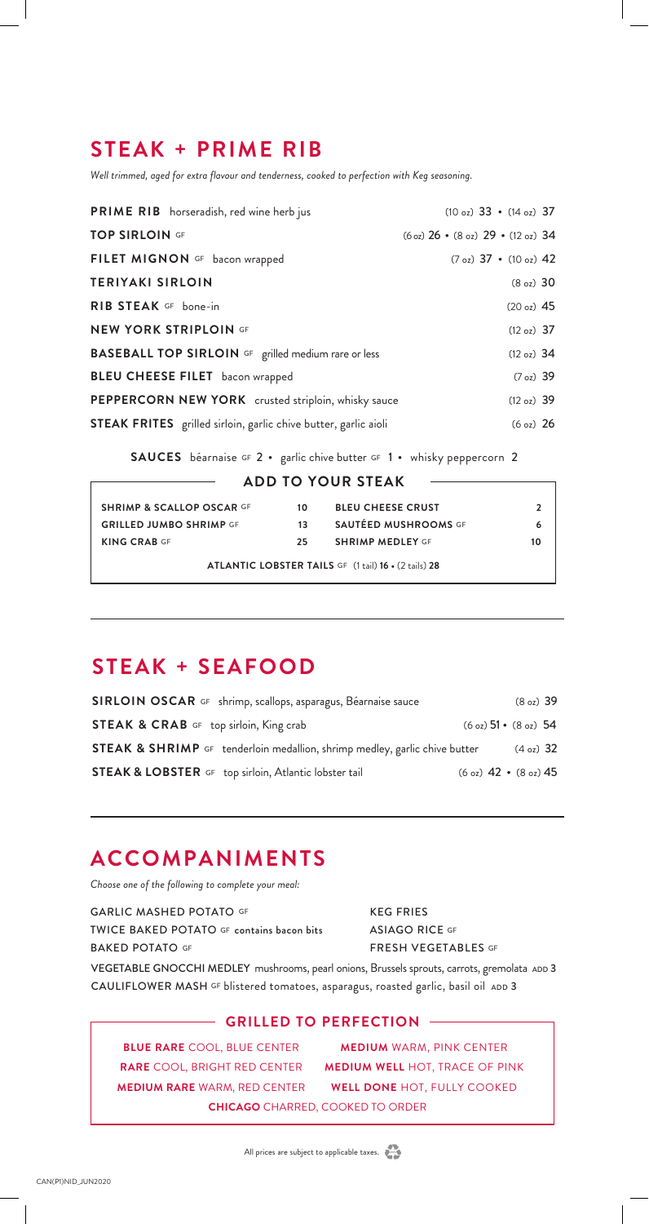## **STEAK + PRIME RIB**

*Well trimmed, aged for extra flavour and tenderness, cooked to perfection with Keg seasoning.*

| PRIME RIB horseradish, red wine herb jus                               | $(10 \text{ oz})$ 33 • $(14 \text{ oz})$ 37                      |
|------------------------------------------------------------------------|------------------------------------------------------------------|
| <b>TOP SIRLOIN GF</b>                                                  | $(6 \text{ oz})$ 26 • $(8 \text{ oz})$ 29 • $(12 \text{ oz})$ 34 |
| FILET MIGNON GF bacon wrapped                                          | $(7 \text{ oz})$ 37 • $(10 \text{ oz})$ 42                       |
| <b>TERIYAKI SIRLOIN</b>                                                | (8 oz) 30                                                        |
| RIB STEAK GF bone-in                                                   | (20 oz) 45                                                       |
| <b>NEW YORK STRIPLOIN GF</b>                                           | (12 oz) 37                                                       |
| <b>BASEBALL TOP SIRLOIN</b> GF grilled medium rare or less             | (12 oz) 34                                                       |
| <b>BLEU CHEESE FILET</b> bacon wrapped                                 | $(7 \text{ oz})$ 39                                              |
| PEPPERCORN NEW YORK crusted striploin, whisky sauce                    | (12 oz) 39                                                       |
| <b>STEAK FRITES</b> grilled sirloin, garlic chive butter, garlic aioli | (6 oz) 26                                                        |

SAUCES béarnaise GF 2 · garlic chive butter GF 1 · whisky peppercorn 2

| <b>ADD TO YOUR STEAK</b>             |    |                          |    |
|--------------------------------------|----|--------------------------|----|
| <b>SHRIMP &amp; SCALLOP OSCAR GF</b> | 10 | <b>BLEU CHEESE CRUST</b> | 2  |
| <b>GRILLED JUMBO SHRIMP GF</b>       | 13 | SAUTÉED MUSHROOMS GF     |    |
| <b>KING CRAB GF</b>                  | 25 | <b>SHRIMP MEDLEY GF</b>  | 10 |

**ATLANTIC LOBSTER TAILS** GF(1 tail) **16 •** (2 tails) **28**

#### **STEAK + SEAFOOD**

| SIRLOIN OSCAR GF shrimp, scallops, asparagus, Béarnaise sauce                         |                                                 | $(8oz)$ 39          |  |
|---------------------------------------------------------------------------------------|-------------------------------------------------|---------------------|--|
| <b>STEAK &amp; CRAB</b> GF top sirloin, King crab                                     | $(6 \text{ oz})$ 51 • $(8 \text{ oz})$ 54       |                     |  |
| <b>STEAK &amp; SHRIMP</b> GF tenderloin medallion, shrimp medley, garlic chive butter |                                                 | $(4 \text{ oz})$ 32 |  |
| <b>STEAK &amp; LOBSTER</b> GF top sirloin, Atlantic lobster tail                      | $(6 \text{ oz})$ 42 $\cdot$ $(8 \text{ oz})$ 45 |                     |  |

### **ACCOMPANIMENTS**

*Choose one of the following to complete your meal:*

GARLIC MASHED POTATO GF TWICE BAKED POTATO GF contains bacon bits BAKED POTATO GF KEG FRIES ASIAGO RICE GF FRESH VEGETABLES GF VEGETABLE GNOCCHI MEDLEY mushrooms, pearl onions, Brussels sprouts, carrots, gremolata ADD 3 CAULIFLOWER MASH GF blistered tomatoes, asparagus, roasted garlic, basil oil ADD 3

#### **GRILLED TO PERFECTION**

**BLUE RARE** COOL, BLUE CENTER **MEDIUM RARE** WARM, RED CENTER **WELL DONE** HOT, FULLY COOKED **CHICAGO** CHARRED, COOKED TO ORDER

**RARE** COOL, BRIGHT RED CENTER **MEDIUM WELL** HOT, TRACE OF PINK **MEDIUM** WARM, PINK CENTER